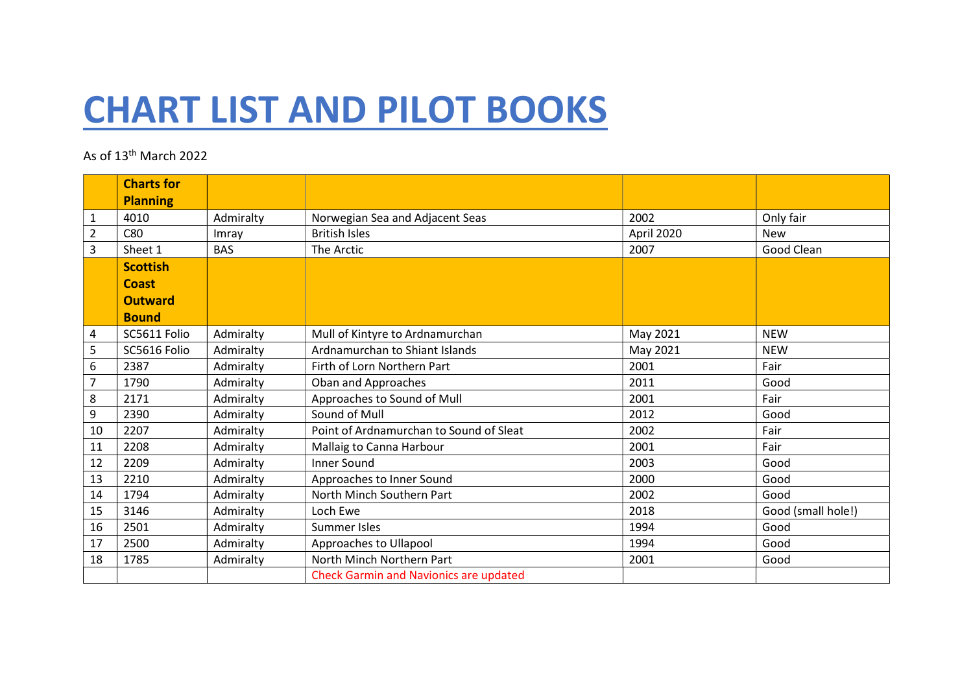## CHART LIST AND PILOT BOOKS

## As of 13th March 2022

|                | <b>Charts for</b><br><b>Planning</b> |            |                                               |            |                    |
|----------------|--------------------------------------|------------|-----------------------------------------------|------------|--------------------|
| 1              | 4010                                 | Admiralty  | Norwegian Sea and Adjacent Seas               | 2002       | Only fair          |
| $\overline{2}$ | C80                                  | Imray      | <b>British Isles</b>                          | April 2020 | <b>New</b>         |
| 3              | Sheet 1                              | <b>BAS</b> | The Arctic                                    | 2007       | Good Clean         |
|                | <b>Scottish</b>                      |            |                                               |            |                    |
|                | <b>Coast</b>                         |            |                                               |            |                    |
|                | <b>Outward</b>                       |            |                                               |            |                    |
|                | <b>Bound</b>                         |            |                                               |            |                    |
| 4              | SC5611 Folio                         | Admiralty  | Mull of Kintyre to Ardnamurchan               | May 2021   | <b>NEW</b>         |
| 5              | SC5616 Folio                         | Admiralty  | Ardnamurchan to Shiant Islands                | May 2021   | <b>NEW</b>         |
| 6              | 2387                                 | Admiralty  | Firth of Lorn Northern Part                   | 2001       | Fair               |
| $\overline{7}$ | 1790                                 | Admiralty  | Oban and Approaches                           | 2011       | Good               |
| 8              | 2171                                 | Admiralty  | Approaches to Sound of Mull                   | 2001       | Fair               |
| 9              | 2390                                 | Admiralty  | Sound of Mull                                 | 2012       | Good               |
| 10             | 2207                                 | Admiralty  | Point of Ardnamurchan to Sound of Sleat       | 2002       | Fair               |
| 11             | 2208                                 | Admiralty  | Mallaig to Canna Harbour                      | 2001       | Fair               |
| 12             | 2209                                 | Admiralty  | <b>Inner Sound</b>                            | 2003       | Good               |
| 13             | 2210                                 | Admiralty  | Approaches to Inner Sound                     | 2000       | Good               |
| 14             | 1794                                 | Admiralty  | North Minch Southern Part                     | 2002       | Good               |
| 15             | 3146                                 | Admiralty  | Loch Ewe                                      | 2018       | Good (small hole!) |
| 16             | 2501                                 | Admiralty  | <b>Summer Isles</b>                           | 1994       | Good               |
| 17             | 2500                                 | Admiralty  | Approaches to Ullapool                        | 1994       | Good               |
| 18             | 1785                                 | Admiralty  | North Minch Northern Part                     | 2001       | Good               |
|                |                                      |            | <b>Check Garmin and Navionics are updated</b> |            |                    |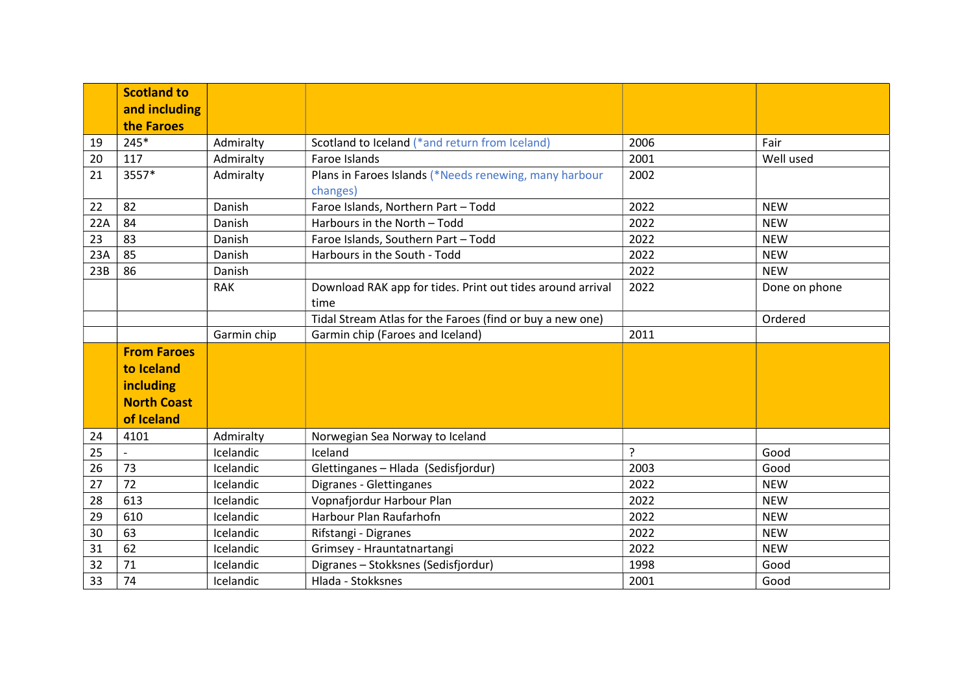|     | <b>Scotland to</b><br>and including |             |                                                                    |      |               |
|-----|-------------------------------------|-------------|--------------------------------------------------------------------|------|---------------|
|     | the Faroes                          |             |                                                                    |      |               |
| 19  | $245*$                              | Admiralty   | Scotland to Iceland (*and return from Iceland)                     | 2006 | Fair          |
| 20  | 117                                 | Admiralty   | Faroe Islands                                                      | 2001 | Well used     |
| 21  | 3557*                               | Admiralty   | Plans in Faroes Islands (*Needs renewing, many harbour<br>changes) | 2002 |               |
| 22  | 82                                  | Danish      | Faroe Islands, Northern Part - Todd                                | 2022 | <b>NEW</b>    |
| 22A | 84                                  | Danish      | Harbours in the North - Todd                                       | 2022 | <b>NEW</b>    |
| 23  | 83                                  | Danish      | Faroe Islands, Southern Part - Todd                                | 2022 | <b>NEW</b>    |
| 23A | 85                                  | Danish      | Harbours in the South - Todd                                       | 2022 | <b>NEW</b>    |
| 23B | 86                                  | Danish      |                                                                    | 2022 | <b>NEW</b>    |
|     |                                     | <b>RAK</b>  | Download RAK app for tides. Print out tides around arrival<br>time | 2022 | Done on phone |
|     |                                     |             | Tidal Stream Atlas for the Faroes (find or buy a new one)          |      | Ordered       |
|     |                                     | Garmin chip | Garmin chip (Faroes and Iceland)                                   | 2011 |               |
|     | <b>From Faroes</b>                  |             |                                                                    |      |               |
|     | to Iceland                          |             |                                                                    |      |               |
|     | <b>including</b>                    |             |                                                                    |      |               |
|     | <b>North Coast</b>                  |             |                                                                    |      |               |
|     | of Iceland                          |             |                                                                    |      |               |
| 24  | 4101                                | Admiralty   | Norwegian Sea Norway to Iceland                                    |      |               |
| 25  |                                     | Icelandic   | Iceland                                                            | ?    | Good          |
| 26  | 73                                  | Icelandic   | Glettinganes - Hlada (Sedisfjordur)                                | 2003 | Good          |
| 27  | 72                                  | Icelandic   | Digranes - Glettinganes                                            | 2022 | <b>NEW</b>    |
| 28  | 613                                 | Icelandic   | Vopnafjordur Harbour Plan                                          | 2022 | <b>NEW</b>    |
| 29  | 610                                 | Icelandic   | Harbour Plan Raufarhofn                                            | 2022 | <b>NEW</b>    |
| 30  | 63                                  | Icelandic   | Rifstangi - Digranes                                               | 2022 | <b>NEW</b>    |
| 31  | 62                                  | Icelandic   | Grimsey - Hrauntatnartangi                                         | 2022 | <b>NEW</b>    |
| 32  | 71                                  | Icelandic   | Digranes - Stokksnes (Sedisfjordur)                                | 1998 | Good          |
| 33  | 74                                  | Icelandic   | Hlada - Stokksnes                                                  | 2001 | Good          |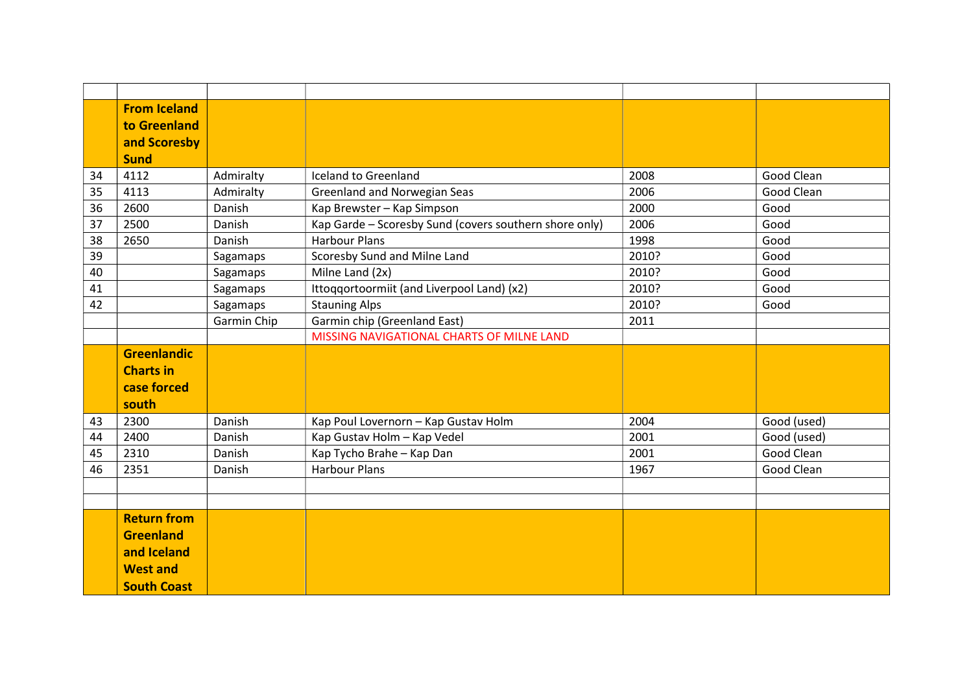|    | <b>From Iceland</b> |             |                                                        |       |             |
|----|---------------------|-------------|--------------------------------------------------------|-------|-------------|
|    |                     |             |                                                        |       |             |
|    | to Greenland        |             |                                                        |       |             |
|    | and Scoresby        |             |                                                        |       |             |
|    | <b>Sund</b>         |             |                                                        |       |             |
| 34 | 4112                | Admiralty   | <b>Iceland to Greenland</b>                            | 2008  | Good Clean  |
| 35 | 4113                | Admiralty   | <b>Greenland and Norwegian Seas</b>                    | 2006  | Good Clean  |
| 36 | 2600                | Danish      | Kap Brewster - Kap Simpson                             | 2000  | Good        |
| 37 | 2500                | Danish      | Kap Garde - Scoresby Sund (covers southern shore only) | 2006  | Good        |
| 38 | 2650                | Danish      | <b>Harbour Plans</b>                                   | 1998  | Good        |
| 39 |                     | Sagamaps    | Scoresby Sund and Milne Land                           | 2010? | Good        |
| 40 |                     | Sagamaps    | Milne Land (2x)                                        | 2010? | Good        |
| 41 |                     | Sagamaps    | Ittoqqortoormiit (and Liverpool Land) (x2)             | 2010? | Good        |
| 42 |                     | Sagamaps    | <b>Stauning Alps</b>                                   | 2010? | Good        |
|    |                     | Garmin Chip | Garmin chip (Greenland East)                           | 2011  |             |
|    |                     |             | MISSING NAVIGATIONAL CHARTS OF MILNE LAND              |       |             |
|    | <b>Greenlandic</b>  |             |                                                        |       |             |
|    | <b>Charts in</b>    |             |                                                        |       |             |
|    | case forced         |             |                                                        |       |             |
|    | south               |             |                                                        |       |             |
| 43 | 2300                | Danish      | Kap Poul Lovernorn - Kap Gustav Holm                   | 2004  | Good (used) |
| 44 | 2400                | Danish      | Kap Gustav Holm - Kap Vedel                            | 2001  | Good (used) |
| 45 | 2310                | Danish      | Kap Tycho Brahe - Kap Dan                              | 2001  | Good Clean  |
| 46 | 2351                | Danish      | <b>Harbour Plans</b>                                   | 1967  | Good Clean  |
|    |                     |             |                                                        |       |             |
|    |                     |             |                                                        |       |             |
|    | <b>Return from</b>  |             |                                                        |       |             |
|    | <b>Greenland</b>    |             |                                                        |       |             |
|    | and Iceland         |             |                                                        |       |             |
|    | <b>West and</b>     |             |                                                        |       |             |
|    | <b>South Coast</b>  |             |                                                        |       |             |
|    |                     |             |                                                        |       |             |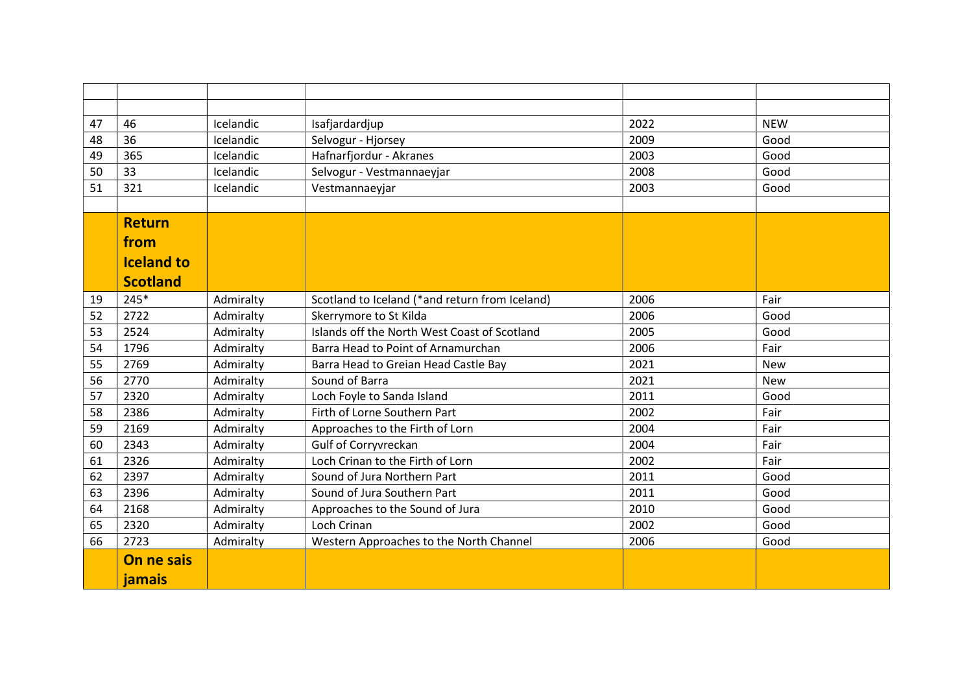| 47 | 46                | Icelandic | Isafjardardjup                                 | 2022 | <b>NEW</b> |
|----|-------------------|-----------|------------------------------------------------|------|------------|
| 48 | 36                | Icelandic | Selvogur - Hjorsey                             | 2009 | Good       |
| 49 | 365               | Icelandic | Hafnarfjordur - Akranes                        | 2003 | Good       |
| 50 | 33                | Icelandic | Selvogur - Vestmannaeyjar                      | 2008 | Good       |
| 51 | 321               | Icelandic | Vestmannaeyjar                                 | 2003 | Good       |
|    |                   |           |                                                |      |            |
|    | <b>Return</b>     |           |                                                |      |            |
|    | from              |           |                                                |      |            |
|    | <b>Iceland to</b> |           |                                                |      |            |
|    |                   |           |                                                |      |            |
|    | <b>Scotland</b>   |           |                                                |      |            |
| 19 | $245*$            | Admiralty | Scotland to Iceland (*and return from Iceland) | 2006 | Fair       |
| 52 | 2722              | Admiralty | Skerrymore to St Kilda                         | 2006 | Good       |
| 53 | 2524              | Admiralty | Islands off the North West Coast of Scotland   | 2005 | Good       |
| 54 | 1796              | Admiralty | Barra Head to Point of Arnamurchan             | 2006 | Fair       |
| 55 | 2769              | Admiralty | Barra Head to Greian Head Castle Bay           | 2021 | <b>New</b> |
| 56 | 2770              | Admiralty | Sound of Barra                                 | 2021 | <b>New</b> |
| 57 | 2320              | Admiralty | Loch Foyle to Sanda Island                     | 2011 | Good       |
| 58 | 2386              | Admiralty | Firth of Lorne Southern Part                   | 2002 | Fair       |
| 59 | 2169              | Admiralty | Approaches to the Firth of Lorn                | 2004 | Fair       |
| 60 | 2343              | Admiralty | Gulf of Corryvreckan                           | 2004 | Fair       |
| 61 | 2326              | Admiralty | Loch Crinan to the Firth of Lorn               | 2002 | Fair       |
| 62 | 2397              | Admiralty | Sound of Jura Northern Part                    | 2011 | Good       |
| 63 | 2396              | Admiralty | Sound of Jura Southern Part                    | 2011 | Good       |
| 64 | 2168              | Admiralty | Approaches to the Sound of Jura                | 2010 | Good       |
| 65 | 2320              | Admiralty | Loch Crinan                                    | 2002 | Good       |
| 66 | 2723              | Admiralty | Western Approaches to the North Channel        | 2006 | Good       |
|    | On ne sais        |           |                                                |      |            |
|    | jamais            |           |                                                |      |            |